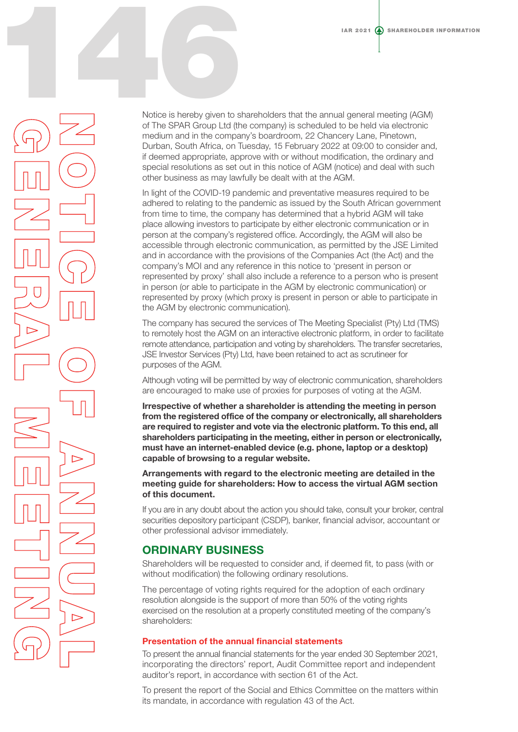Notice is hereby given to shareholders that the annual general meeting (AGM) of The SPAR Group Ltd (the company) is scheduled to be held via electronic medium and in the company's boardroom, 22 Chancery Lane, Pinetown, Durban, South Africa, on Tuesday, 15 February 2022 at 09:00 to consider and, if deemed appropriate, approve with or without modification, the ordinary and special resolutions as set out in this notice of AGM (notice) and deal with such other business as may lawfully be dealt with at the AGM. Notice is hereby given to st

> In light of the COVID-19 pandemic and preventative measures required to be adhered to relating to the pandemic as issued by the South African government from time to time, the company has determined that a hybrid AGM will take place allowing investors to participate by either electronic communication or in person at the company's registered office. Accordingly, the AGM will also be accessible through electronic communication, as permitted by the JSE Limited and in accordance with the provisions of the Companies Act (the Act) and the company's MOI and any reference in this notice to 'present in person or represented by proxy' shall also include a reference to a person who is present in person (or able to participate in the AGM by electronic communication) or represented by proxy (which proxy is present in person or able to participate in the AGM by electronic communication).

> The company has secured the services of The Meeting Specialist (Pty) Ltd (TMS) to remotely host the AGM on an interactive electronic platform, in order to facilitate remote attendance, participation and voting by shareholders. The transfer secretaries, JSE Investor Services (Pty) Ltd, have been retained to act as scrutineer for purposes of the AGM.

> Although voting will be permitted by way of electronic communication, shareholders are encouraged to make use of proxies for purposes of voting at the AGM.

> Irrespective of whether a shareholder is attending the meeting in person from the registered office of the company or electronically, all shareholders are required to register and vote via the electronic platform. To this end, all shareholders participating in the meeting, either in person or electronically, must have an internet-enabled device (e.g. phone, laptop or a desktop) capable of browsing to a regular website.

Arrangements with regard to the electronic meeting are detailed in the meeting guide for shareholders: How to access the virtual AGM section of this document.

If you are in any doubt about the action you should take, consult your broker, central securities depository participant (CSDP), banker, financial advisor, accountant or other professional advisor immediately.

# ORDINARY BUSINESS

Shareholders will be requested to consider and, if deemed fit, to pass (with or without modification) the following ordinary resolutions.

The percentage of voting rights required for the adoption of each ordinary resolution alongside is the support of more than 50% of the voting rights exercised on the resolution at a properly constituted meeting of the company's shareholders:

## Presentation of the annual financial statements

To present the annual financial statements for the year ended 30 September 2021, incorporating the directors' report, Audit Committee report and independent auditor's report, in accordance with section 61 of the Act.

To present the report of the Social and Ethics Committee on the matters within its mandate, in accordance with regulation 43 of the Act.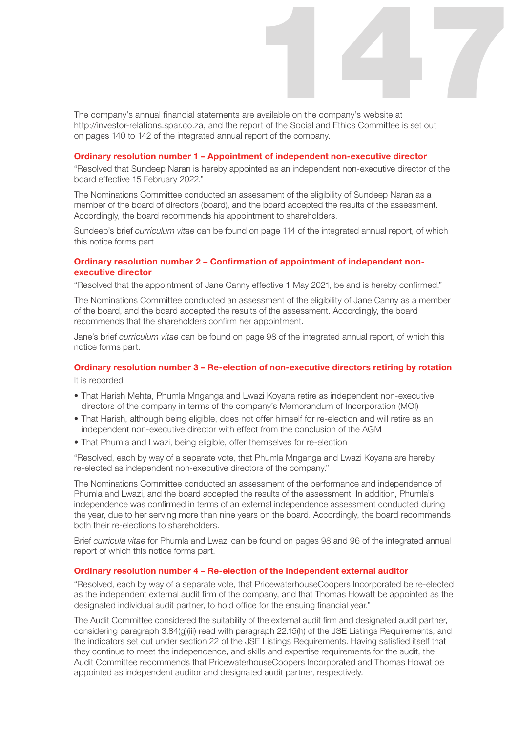The company's annual financial statements are available on the company's website at http://investor-relations.spar.co.za, and the report of the Social and Ethics Committee is set out on pages 140 to 142 of the integrated annual report of the company. e available on the company's website at

## Ordinary resolution number 1 – Appointment of independent non-executive director

"Resolved that Sundeep Naran is hereby appointed as an independent non-executive director of the board effective 15 February 2022."

The Nominations Committee conducted an assessment of the eligibility of Sundeep Naran as a member of the board of directors (board), and the board accepted the results of the assessment. Accordingly, the board recommends his appointment to shareholders.

Sundeep's brief *curriculum vitae* can be found on page 114 of the integrated annual report, of which this notice forms part.

# Ordinary resolution number 2 – Confirmation of appointment of independent nonexecutive director

"Resolved that the appointment of Jane Canny effective 1 May 2021, be and is hereby confirmed."

The Nominations Committee conducted an assessment of the eligibility of Jane Canny as a member of the board, and the board accepted the results of the assessment. Accordingly, the board recommends that the shareholders confirm her appointment.

Jane's brief *curriculum vitae* can be found on page 98 of the integrated annual report, of which this notice forms part.

## Ordinary resolution number 3 – Re-election of non-executive directors retiring by rotation

It is recorded

- That Harish Mehta, Phumla Mnganga and Lwazi Koyana retire as independent non-executive directors of the company in terms of the company's Memorandum of Incorporation (MOI)
- That Harish, although being eligible, does not offer himself for re-election and will retire as an independent non-executive director with effect from the conclusion of the AGM
- That Phumla and Lwazi, being eligible, offer themselves for re-election

"Resolved, each by way of a separate vote, that Phumla Mnganga and Lwazi Koyana are hereby re-elected as independent non-executive directors of the company."

The Nominations Committee conducted an assessment of the performance and independence of Phumla and Lwazi, and the board accepted the results of the assessment. In addition, Phumla's independence was confirmed in terms of an external independence assessment conducted during the year, due to her serving more than nine years on the board. Accordingly, the board recommends both their re-elections to shareholders.

Brief *curricula vitae* for Phumla and Lwazi can be found on pages 98 and 96 of the integrated annual report of which this notice forms part.

## Ordinary resolution number 4 – Re-election of the independent external auditor

"Resolved, each by way of a separate vote, that PricewaterhouseCoopers Incorporated be re-elected as the independent external audit firm of the company, and that Thomas Howatt be appointed as the designated individual audit partner, to hold office for the ensuing financial year."

The Audit Committee considered the suitability of the external audit firm and designated audit partner, considering paragraph 3.84(g)(iii) read with paragraph 22.15(h) of the JSE Listings Requirements, and the indicators set out under section 22 of the JSE Listings Requirements. Having satisfied itself that they continue to meet the independence, and skills and expertise requirements for the audit, the Audit Committee recommends that PricewaterhouseCoopers Incorporated and Thomas Howat be appointed as independent auditor and designated audit partner, respectively.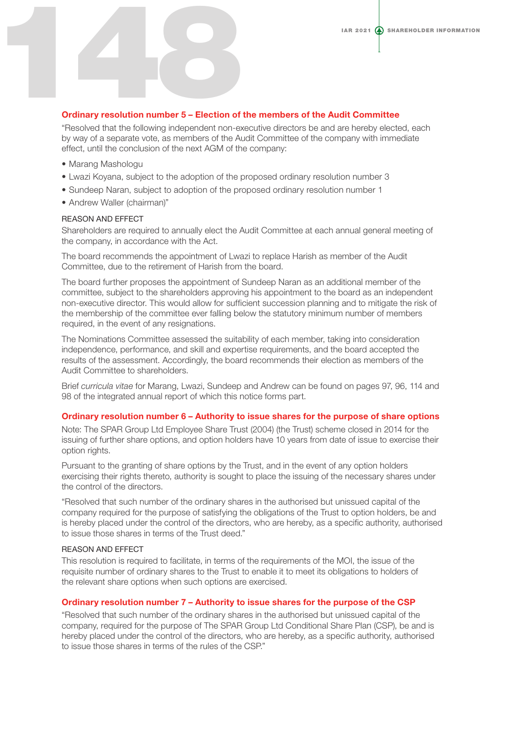# Ordinary resolution number 5 – Election of the members of the Audit Committee Ordinary resolution number 5 – Election of

"Resolved that the following independent non-executive directors be and are hereby elected, each by way of a separate vote, as members of the Audit Committee of the company with immediate effect, until the conclusion of the next AGM of the company:

- Marang Mashologu
- Lwazi Koyana, subject to the adoption of the proposed ordinary resolution number 3
- Sundeep Naran, subject to adoption of the proposed ordinary resolution number 1
- Andrew Waller (chairman)"

## REASON AND EFFECT

Shareholders are required to annually elect the Audit Committee at each annual general meeting of the company, in accordance with the Act.

The board recommends the appointment of Lwazi to replace Harish as member of the Audit Committee, due to the retirement of Harish from the board.

The board further proposes the appointment of Sundeep Naran as an additional member of the committee, subject to the shareholders approving his appointment to the board as an independent non-executive director. This would allow for sufficient succession planning and to mitigate the risk of the membership of the committee ever falling below the statutory minimum number of members required, in the event of any resignations.

The Nominations Committee assessed the suitability of each member, taking into consideration independence, performance, and skill and expertise requirements, and the board accepted the results of the assessment. Accordingly, the board recommends their election as members of the Audit Committee to shareholders.

Brief *curricula vitae* for Marang, Lwazi, Sundeep and Andrew can be found on pages 97, 96, 114 and 98 of the integrated annual report of which this notice forms part.

#### Ordinary resolution number 6 – Authority to issue shares for the purpose of share options

Note: The SPAR Group Ltd Employee Share Trust (2004) (the Trust) scheme closed in 2014 for the issuing of further share options, and option holders have 10 years from date of issue to exercise their option rights.

Pursuant to the granting of share options by the Trust, and in the event of any option holders exercising their rights thereto, authority is sought to place the issuing of the necessary shares under the control of the directors.

"Resolved that such number of the ordinary shares in the authorised but unissued capital of the company required for the purpose of satisfying the obligations of the Trust to option holders, be and is hereby placed under the control of the directors, who are hereby, as a specific authority, authorised to issue those shares in terms of the Trust deed."

## REASON AND EFFECT

This resolution is required to facilitate, in terms of the requirements of the MOI, the issue of the requisite number of ordinary shares to the Trust to enable it to meet its obligations to holders of the relevant share options when such options are exercised.

## Ordinary resolution number 7 – Authority to issue shares for the purpose of the CSP

"Resolved that such number of the ordinary shares in the authorised but unissued capital of the company, required for the purpose of The SPAR Group Ltd Conditional Share Plan (CSP), be and is hereby placed under the control of the directors, who are hereby, as a specific authority, authorised to issue those shares in terms of the rules of the CSP."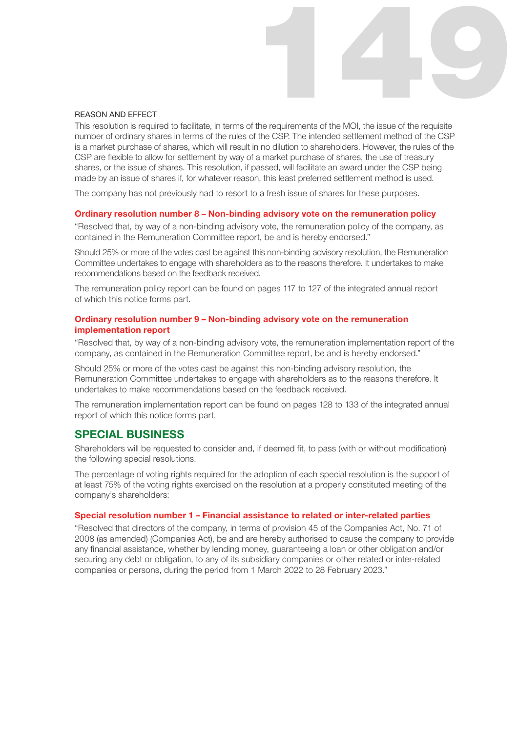## REASON AND EFFECT

This resolution is required to facilitate, in terms of the requirements of the MOI, the issue of the requisite number of ordinary shares in terms of the rules of the CSP. The intended settlement method of the CSP 149 is a market purchase of shares, which will result in no dilution to shareholders. However, the rules of the CSP are flexible to allow for settlement by way of a market purchase of shares, the use of treasury shares, or the issue of shares. This resolution, if passed, will facilitate an award under the CSP being made by an issue of shares if, for whatever reason, this least preferred settlement method is used.

The company has not previously had to resort to a fresh issue of shares for these purposes.

## Ordinary resolution number 8 – Non-binding advisory vote on the remuneration policy

"Resolved that, by way of a non-binding advisory vote, the remuneration policy of the company, as contained in the Remuneration Committee report, be and is hereby endorsed."

Should 25% or more of the votes cast be against this non-binding advisory resolution, the Remuneration Committee undertakes to engage with shareholders as to the reasons therefore. It undertakes to make recommendations based on the feedback received.

The remuneration policy report can be found on pages 117 to 127 of the integrated annual report of which this notice forms part.

# Ordinary resolution number 9 – Non-binding advisory vote on the remuneration implementation report

"Resolved that, by way of a non-binding advisory vote, the remuneration implementation report of the company, as contained in the Remuneration Committee report, be and is hereby endorsed."

Should 25% or more of the votes cast be against this non-binding advisory resolution, the Remuneration Committee undertakes to engage with shareholders as to the reasons therefore. It undertakes to make recommendations based on the feedback received.

The remuneration implementation report can be found on pages 128 to 133 of the integrated annual report of which this notice forms part.

# SPECIAL BUSINESS

Shareholders will be requested to consider and, if deemed fit, to pass (with or without modification) the following special resolutions.

The percentage of voting rights required for the adoption of each special resolution is the support of at least 75% of the voting rights exercised on the resolution at a properly constituted meeting of the company's shareholders:

## Special resolution number 1 – Financial assistance to related or inter-related parties

"Resolved that directors of the company, in terms of provision 45 of the Companies Act, No. 71 of 2008 (as amended) (Companies Act), be and are hereby authorised to cause the company to provide any financial assistance, whether by lending money, guaranteeing a loan or other obligation and/or securing any debt or obligation, to any of its subsidiary companies or other related or inter-related companies or persons, during the period from 1 March 2022 to 28 February 2023."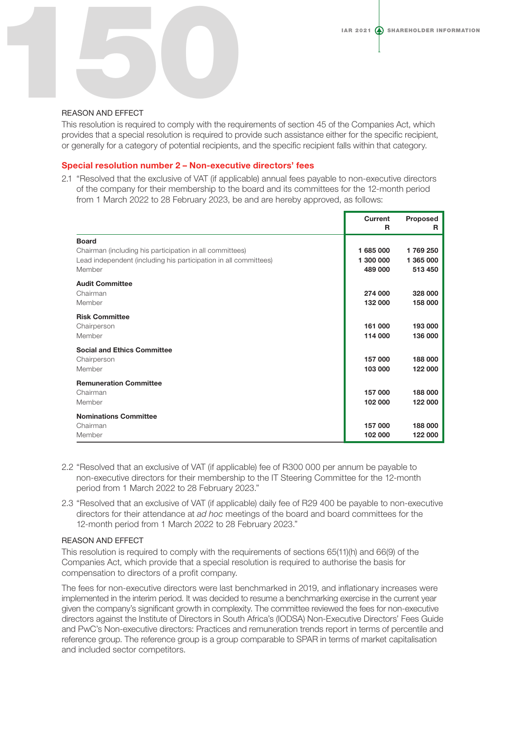# REASON AND EFFECT 150

This resolution is required to comply with the requirements of section 45 of the Companies Act, which provides that a special resolution is required to provide such assistance either for the specific recipient, or generally for a category of potential recipients, and the specific recipient falls within that category.

## Special resolution number 2 – Non-executive directors' fees

2.1 "Resolved that the exclusive of VAT (if applicable) annual fees payable to non-executive directors of the company for their membership to the board and its committees for the 12-month period from 1 March 2022 to 28 February 2023, be and are hereby approved, as follows:

|                                                                                                                                                        | <b>Current</b><br>R               | Proposed<br>R.                  |
|--------------------------------------------------------------------------------------------------------------------------------------------------------|-----------------------------------|---------------------------------|
| <b>Board</b><br>Chairman (including his participation in all committees)<br>Lead independent (including his participation in all committees)<br>Member | 1 685 000<br>1 300 000<br>489 000 | 1769250<br>1 365 000<br>513 450 |
| <b>Audit Committee</b><br>Chairman<br>Member                                                                                                           | 274 000<br>132 000                | 328 000<br>158 000              |
| <b>Risk Committee</b><br>Chairperson<br>Member                                                                                                         | 161 000<br>114 000                | 193 000<br>136 000              |
| <b>Social and Ethics Committee</b><br>Chairperson<br>Member                                                                                            | 157 000<br>103 000                | 188 000<br>122 000              |
| <b>Remuneration Committee</b><br>Chairman<br>Member                                                                                                    | 157 000<br>102 000                | 188 000<br>122 000              |
| <b>Nominations Committee</b><br>Chairman<br>Member                                                                                                     | 157 000<br>102 000                | 188 000<br>122 000              |

- 2.2 "Resolved that an exclusive of VAT (if applicable) fee of R300 000 per annum be payable to non-executive directors for their membership to the IT Steering Committee for the 12-month period from 1 March 2022 to 28 February 2023."
- 2.3 "Resolved that an exclusive of VAT (if applicable) daily fee of R29 400 be payable to non-executive directors for their attendance at *ad hoc* meetings of the board and board committees for the 12-month period from 1 March 2022 to 28 February 2023."

## REASON AND EFFECT

This resolution is required to comply with the requirements of sections 65(11)(h) and 66(9) of the Companies Act, which provide that a special resolution is required to authorise the basis for compensation to directors of a profit company.

The fees for non-executive directors were last benchmarked in 2019, and inflationary increases were implemented in the interim period. It was decided to resume a benchmarking exercise in the current year given the company's significant growth in complexity. The committee reviewed the fees for non-executive directors against the Institute of Directors in South Africa's (IODSA) Non-Executive Directors' Fees Guide and PwC's Non-executive directors: Practices and remuneration trends report in terms of percentile and reference group. The reference group is a group comparable to SPAR in terms of market capitalisation and included sector competitors.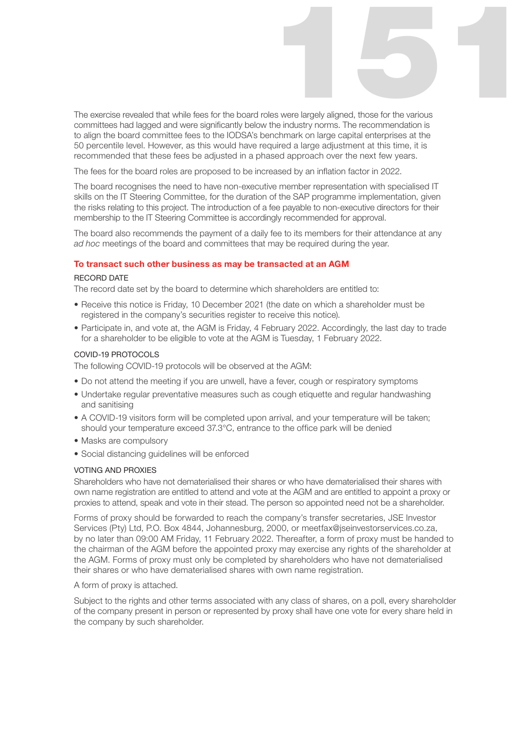The exercise revealed that while fees for the board roles were largely aligned, those for the various committees had lagged and were significantly below the industry norms. The recommendation is to align the board committee fees to the IODSA's benchmark on large capital enterprises at the 50 percentile level. However, as this would have required a large adjustment at this time, it is recommended that these fees be adjusted in a phased approach over the next few years. Les were largely aligned, those for the various

The fees for the board roles are proposed to be increased by an inflation factor in 2022.

The board recognises the need to have non-executive member representation with specialised IT skills on the IT Steering Committee, for the duration of the SAP programme implementation, given the risks relating to this project. The introduction of a fee payable to non-executive directors for their membership to the IT Steering Committee is accordingly recommended for approval.

The board also recommends the payment of a daily fee to its members for their attendance at any *ad hoc* meetings of the board and committees that may be required during the year.

# To transact such other business as may be transacted at an AGM

### RECORD DATE

The record date set by the board to determine which shareholders are entitled to:

- Receive this notice is Friday, 10 December 2021 (the date on which a shareholder must be registered in the company's securities register to receive this notice).
- Participate in, and vote at, the AGM is Friday, 4 February 2022. Accordingly, the last day to trade for a shareholder to be eligible to vote at the AGM is Tuesday, 1 February 2022.

## COVID-19 PROTOCOLS

The following COVID-19 protocols will be observed at the AGM:

- Do not attend the meeting if you are unwell, have a fever, cough or respiratory symptoms
- Undertake regular preventative measures such as cough etiquette and regular handwashing and sanitising
- A COVID-19 visitors form will be completed upon arrival, and your temperature will be taken; should your temperature exceed 37.3°C, entrance to the office park will be denied
- Masks are compulsory
- Social distancing guidelines will be enforced

# VOTING AND PROXIES

Shareholders who have not dematerialised their shares or who have dematerialised their shares with own name registration are entitled to attend and vote at the AGM and are entitled to appoint a proxy or proxies to attend, speak and vote in their stead. The person so appointed need not be a shareholder.

Forms of proxy should be forwarded to reach the company's transfer secretaries, JSE Investor Services (Pty) Ltd, P.O. Box 4844, Johannesburg, 2000, or meetfax@jseinvestorservices.co.za, by no later than 09:00 AM Friday, 11 February 2022. Thereafter, a form of proxy must be handed to the chairman of the AGM before the appointed proxy may exercise any rights of the shareholder at the AGM. Forms of proxy must only be completed by shareholders who have not dematerialised their shares or who have dematerialised shares with own name registration.

## A form of proxy is attached.

Subject to the rights and other terms associated with any class of shares, on a poll, every shareholder of the company present in person or represented by proxy shall have one vote for every share held in the company by such shareholder.